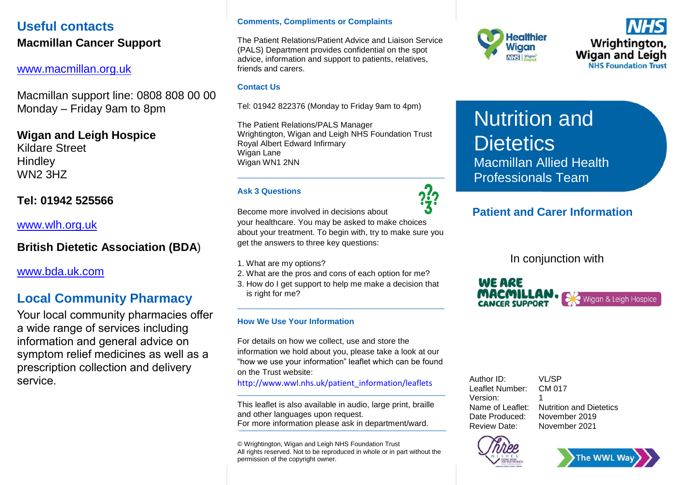## **Useful contacts Macmillan Cancer Support**

### [www.macmillan.org.uk](http://www.macmillan.org.uk/)

Macmillan support line: 0808 808 00 00 Monday – Friday 9am to 8pm

## **Wigan and Leigh Hospice**

Kildare Street **Hindley** WN2 3HZ

### **Tel: 01942 525566**

[www.wlh.org.uk](http://www.wlh.org.uk/)

## **British Dietetic Association (BDA**)

[www.bda.uk.com](http://www.bda.uk.com/)

## **Local Community Pharmacy**

Your local community pharmacies offer a wide range of services including information and general advice on symptom relief medicines as well as a prescription collection and delivery service.

#### **Comments, Compliments or Complaints**

The Patient Relations/Patient Advice and Liaison Service (PALS) Department provides confidential on the spot advice, information and support to patients, relatives, friends and carers.

#### **Contact Us**

Tel: 01942 822376 (Monday to Friday 9am to 4pm)

The Patient Relations/PALS Manager Wrightington, Wigan and Leigh NHS Foundation Trust Royal Albert Edward Infirmary Wigan Lane Wigan WN1 2NN

#### **Ask 3 Questions**

Become more involved in decisions about your healthcare. You may be asked to make choices

about your treatment. To begin with, try to make sure you get the answers to three key questions:

1. What are my options?

- 2. What are the pros and cons of each option for me?
- 3. How do I get support to help me make a decision that is right for me?

#### **How We Use Your Information**

For details on how we collect, use and store the information we hold about you, please take a look at our "how we use your information" leaflet which can be found on the Trust website:

[http://www.wwl.nhs.uk/patient\\_information/leaflets](http://www.wwl.nhs.uk/patient_information/leaflets/)

This leaflet is also available in audio, large print, braille and other languages upon request. For more information please ask in department/ward.

© Wrightington, Wigan and Leigh NHS Foundation Trust All rights reserved. Not to be reproduced in whole or in part without the permission of the copyright owner.





Nutrition and **Dietetics** Macmillan Allied Health Professionals Team

## **Patient and Carer Information**

In conjunction with



| Author ID:       | VL/SP                          |
|------------------|--------------------------------|
| Leaflet Number:  | CM 017                         |
| Version:         |                                |
| Name of Leaflet: | <b>Nutrition and Dietetics</b> |
| Date Produced:   | November 2019                  |
| Review Date:     | November 2021                  |
|                  |                                |